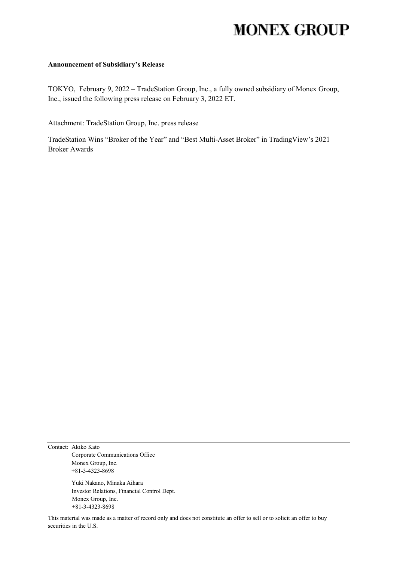# **MONEX GROUP**

### **Announcement of Subsidiary's Release**

TOKYO, February 9, 2022 – TradeStation Group, Inc., a fully owned subsidiary of Monex Group, Inc., issued the following press release on February 3, 2022 ET.

Attachment: TradeStation Group, Inc. press release

TradeStation Wins "Broker of the Year" and "Best Multi-Asset Broker" in TradingView's 2021 Broker Awards

Contact: Akiko Kato Corporate Communications Office Monex Group, Inc. +81-3-4323-8698

> Yuki Nakano, Minaka Aihara Investor Relations, Financial Control Dept. Monex Group, Inc. +81-3-4323-8698

This material was made as a matter of record only and does not constitute an offer to sell or to solicit an offer to buy securities in the U.S.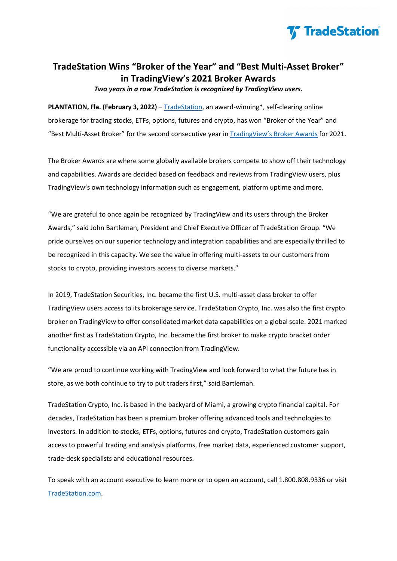

## **TradeStation Wins "Broker of the Year" and "Best Multi-Asset Broker" in TradingView's 2021 Broker Awards**

*Two years in a row TradeStation is recognized by TradingView users.*

**PLANTATION, Fla. (February 3, 2022)** – [TradeStation,](https://www.tradestation.com/promo/cash-reward-nw/) [an award-winning\\*, self-clearing online](https://www.tradestation.com/)  [brokerage for trading stocks, ETFs, options, futures and crypto,](https://www.tradestation.com/) has won "Broker of the Year" and "Best Multi-Asset Broker" for the second consecutive year in [TradingView's Broker Awards](https://www.tradingview.com/blog/en/results-of-2021-broker-awards-29015/) for 2021.

The Broker Awards are where some globally available brokers compete to show off their technology and capabilities. Awards are decided based on feedback and reviews from TradingView users, plus TradingView's own technology information such as engagement, platform uptime and more.

"We are grateful to once again be recognized by TradingView and its users through the Broker Awards," said John Bartleman, President and Chief Executive Officer of TradeStation Group. "We pride ourselves on our superior technology and integration capabilities and are especially thrilled to be recognized in this capacity. We see the value in offering multi-assets to our customers from stocks to crypto, providing investors access to diverse markets."

In 2019, TradeStation Securities, Inc. became the first U.S. multi-asset class broker to offer TradingView users access to its brokerage service. TradeStation Crypto, Inc. was also the first crypto broker on TradingView to offer consolidated market data capabilities on a global scale. 2021 marked another first as TradeStation Crypto, Inc. became the first broker to make crypto bracket order functionality accessible via an API connection from TradingView.

"We are proud to continue working with TradingView and look forward to what the future has in store, as we both continue to try to put traders first," said Bartleman.

TradeStation Crypto, Inc. is based in the backyard of Miami, a growing crypto financial capital. For decades, TradeStation has been a premium broker offering advanced tools and technologies to investors. In addition to stocks, ETFs, options, futures and crypto, TradeStation customers gain access to powerful trading and analysis platforms, free market data, experienced customer support, trade-desk specialists and educational resources.

To speak with an account executive to learn more or to open an account, call 1.800.808.9336 or visit [TradeStation.com.](https://www.tradestation.com/)